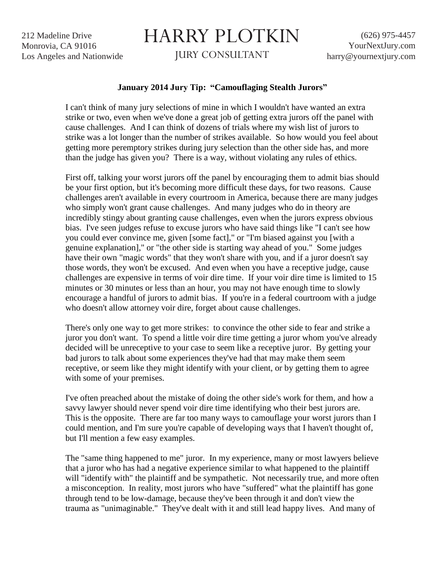212 Madeline Drive Monrovia, CA 91016 Los Angeles and Nationwide

## HARRY PLOTKIN

JURY CONSULTANT

## **January 2014 Jury Tip: "Camouflaging Stealth Jurors"**

I can't think of many jury selections of mine in which I wouldn't have wanted an extra strike or two, even when we've done a great job of getting extra jurors off the panel with cause challenges. And I can think of dozens of trials where my wish list of jurors to strike was a lot longer than the number of strikes available. So how would you feel about getting more peremptory strikes during jury selection than the other side has, and more than the judge has given you? There is a way, without violating any rules of ethics.

First off, talking your worst jurors off the panel by encouraging them to admit bias should be your first option, but it's becoming more difficult these days, for two reasons. Cause challenges aren't available in every courtroom in America, because there are many judges who simply won't grant cause challenges. And many judges who do in theory are incredibly stingy about granting cause challenges, even when the jurors express obvious bias. I've seen judges refuse to excuse jurors who have said things like "I can't see how you could ever convince me, given [some fact]," or "I'm biased against you [with a genuine explanation]," or "the other side is starting way ahead of you." Some judges have their own "magic words" that they won't share with you, and if a juror doesn't say those words, they won't be excused. And even when you have a receptive judge, cause challenges are expensive in terms of voir dire time. If your voir dire time is limited to 15 minutes or 30 minutes or less than an hour, you may not have enough time to slowly encourage a handful of jurors to admit bias. If you're in a federal courtroom with a judge who doesn't allow attorney voir dire, forget about cause challenges.

There's only one way to get more strikes: to convince the other side to fear and strike a juror you don't want. To spend a little voir dire time getting a juror whom you've already decided will be unreceptive to your case to seem like a receptive juror. By getting your bad jurors to talk about some experiences they've had that may make them seem receptive, or seem like they might identify with your client, or by getting them to agree with some of your premises.

I've often preached about the mistake of doing the other side's work for them, and how a savvy lawyer should never spend voir dire time identifying who their best jurors are. This is the opposite. There are far too many ways to camouflage your worst jurors than I could mention, and I'm sure you're capable of developing ways that I haven't thought of, but I'll mention a few easy examples.

The "same thing happened to me" juror. In my experience, many or most lawyers believe that a juror who has had a negative experience similar to what happened to the plaintiff will "identify with" the plaintiff and be sympathetic. Not necessarily true, and more often a misconception. In reality, most jurors who have "suffered" what the plaintiff has gone through tend to be low-damage, because they've been through it and don't view the trauma as "unimaginable." They've dealt with it and still lead happy lives. And many of